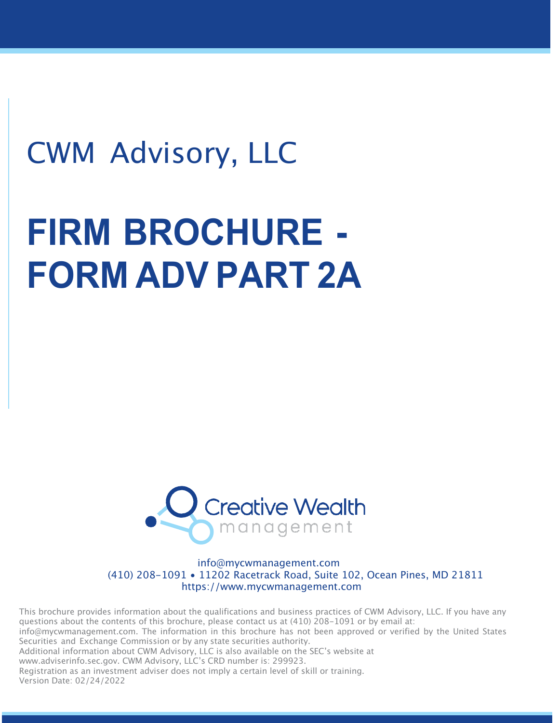## CWM Advisory, LLC

# **FIRM BROCHURE - FORM ADV PART 2A**



info@mycwmanagement.com (410) 208-1091 • 11202 Racetrack Road, Suite 102, Ocean Pines, MD 21811 https://www.mycwmanagement.com

This brochure provides information about the qualifications and business practices of CWM Advisory, LLC. If you have any questions about the contents of this brochure, please contact us at (410) 208-1091 or by email at: info@mycwmanagement.com. The information in this brochure has not been approved or verified by the United States Securities and Exchange Commission or by any state securities authority. Additional information about CWM Advisory, LLC is also available on the SEC's website at www.adviserinfo.sec.gov. CWM Advisory, LLC's CRD number is: 299923. Registration as an investment adviser does not imply a certain level of skill or training. Version Date: 02/24/2022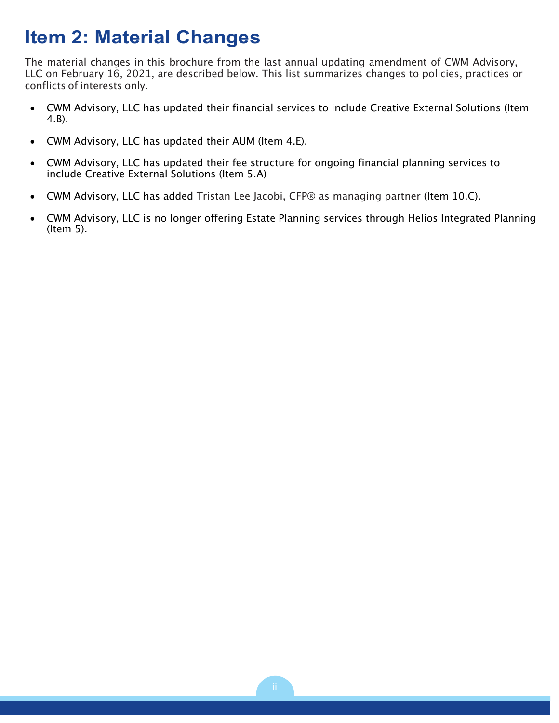### **Item 2: Material Changes**

The material changes in this brochure from the last annual updating amendment of CWM Advisory, LLC on February 16, 2021, are described below. This list summarizes changes to policies, practices or conflicts of interests only.

- CWM Advisory, LLC has updated their financial services to include Creative External Solutions (Item 4.B).
- CWM Advisory, LLC has updated their AUM (Item 4.E).
- CWM Advisory, LLC has updated their fee structure for ongoing financial planning services to include Creative External Solutions (Item 5.A)
- CWM Advisory, LLC has added Tristan Lee Jacobi, CFP® as managing partner (Item 10.C).
- CWM Advisory, LLC is no longer offering Estate Planning services through Helios Integrated Planning (Item 5).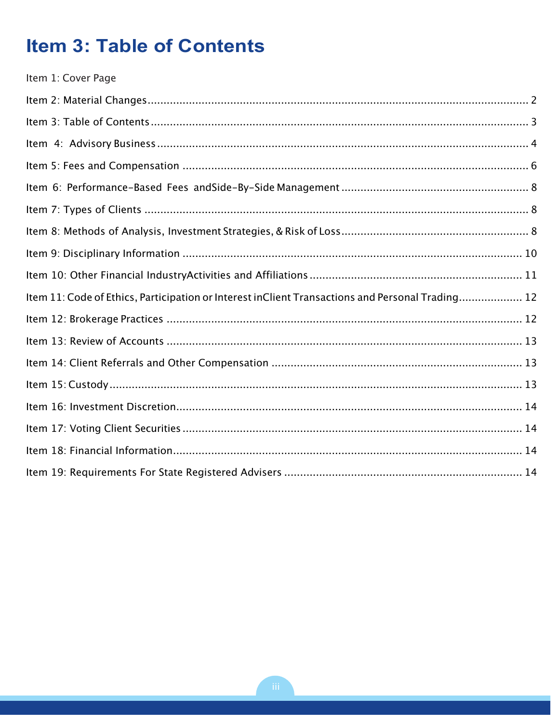### **Item 3: Table of Contents**

| Item 1: Cover Page                                                                               |  |
|--------------------------------------------------------------------------------------------------|--|
|                                                                                                  |  |
|                                                                                                  |  |
|                                                                                                  |  |
|                                                                                                  |  |
|                                                                                                  |  |
|                                                                                                  |  |
|                                                                                                  |  |
|                                                                                                  |  |
|                                                                                                  |  |
| Item 11: Code of Ethics, Participation or Interest inClient Transactions and Personal Trading 12 |  |
|                                                                                                  |  |
|                                                                                                  |  |
|                                                                                                  |  |
|                                                                                                  |  |
|                                                                                                  |  |
|                                                                                                  |  |
|                                                                                                  |  |
|                                                                                                  |  |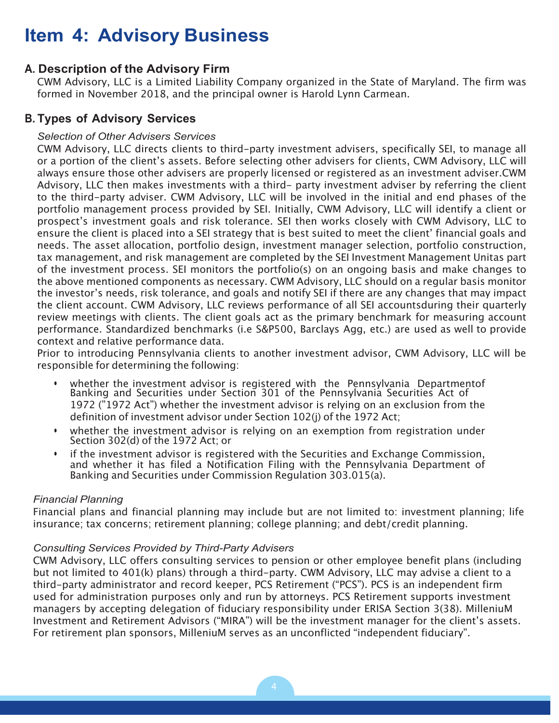### **Item 4: Advisory Business**

#### **A. Description of the Advisory Firm**

CWM Advisory, LLC is a Limited Liability Company organized in the State of Maryland. The firm was formed in November 2018, and the principal owner is Harold Lynn Carmean.

#### **B. Types of Advisory Services**

#### *Selection of Other Advisers Services*

CWM Advisory, LLC directs clients to third-party investment advisers, specifically SEI, to manage all or a portion of the client's assets. Before selecting other advisers for clients, CWM Advisory, LLC will always ensure those other advisers are properly licensed or registered as an investment adviser.CWM Advisory, LLC then makes investments with a third- party investment adviser by referring the client to the third-party adviser. CWM Advisory, LLC will be involved in the initial and end phases of the portfolio management process provided by SEI. Initially, CWM Advisory, LLC will identify a client or prospect's investment goals and risk tolerance. SEI then works closely with CWM Advisory, LLC to ensure the client is placed into a SEI strategy that is best suited to meet the client' financial goals and needs. The asset allocation, portfolio design, investment manager selection, portfolio construction, tax management, and risk management are completed by the SEI Investment Management Unitas part of the investment process. SEI monitors the portfolio(s) on an ongoing basis and make changes to the above mentioned components as necessary. CWM Advisory, LLC should on a regular basis monitor the investor's needs, risk tolerance, and goals and notify SEI if there are any changes that may impact the client account. CWM Advisory, LLC reviews performance of all SEI accountsduring their quarterly review meetings with clients. The client goals act as the primary benchmark for measuring account performance. Standardized benchmarks (i.e S&P500, Barclays Agg, etc.) are used as well to provide context and relative performance data.

Prior to introducing Pennsylvania clients to another investment advisor, CWM Advisory, LLC will be responsible for determining the following:

- whether the investment advisor is registered with the Pennsylvania Departmentof Banking and Securities under Section 301 of the Pennsylvania Securities Act of 1972 ("1972 Act") whether the investment advisor is relying on an exclusion from the definition of investment advisor under Section 102(j) of the 1972 Act;
- whether the investment advisor is relying on an exemption from registration under Section 302(d) of the 1972 Act; or
- if the investment advisor is registered with the Securities and Exchange Commission, and whether it has filed a Notification Filing with the Pennsylvania Department of Banking and Securities under Commission Regulation 303.015(a).

#### *Financial Planning*

Financial plans and financial planning may include but are not limited to: investment planning; life insurance; tax concerns; retirement planning; college planning; and debt/credit planning.

#### *Consulting Services Provided by Third-Party Advisers*

CWM Advisory, LLC offers consulting services to pension or other employee benefit plans (including but not limited to 401(k) plans) through a third-party. CWM Advisory, LLC may advise a client to a third-party administrator and record keeper, PCS Retirement ("PCS"). PCS is an independent firm used for administration purposes only and run by attorneys. PCS Retirement supports investment managers by accepting delegation of fiduciary responsibility under ERISA Section 3(38). MilleniuM Investment and Retirement Advisors ("MIRA") will be the investment manager for the client's assets. For retirement plan sponsors, MilleniuM serves as an unconflicted "independent fiduciary".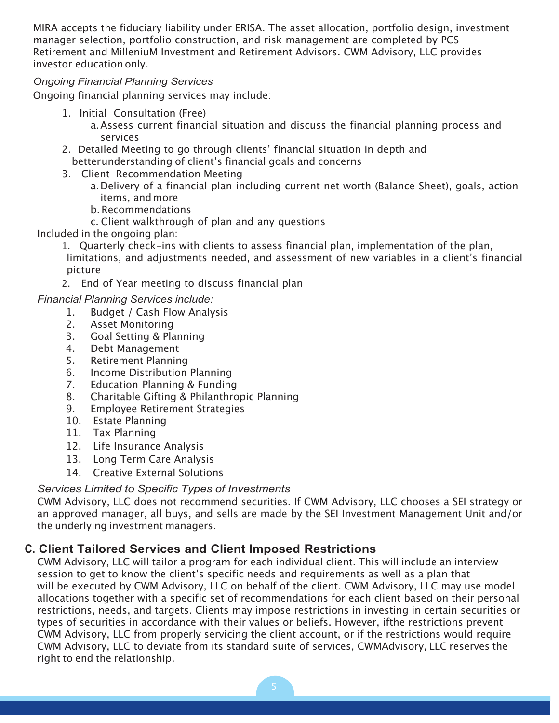MIRA accepts the fiduciary liability under ERISA. The asset allocation, portfolio design, investment manager selection, portfolio construction, and risk management are completed by PCS Retirement and MilleniuM Investment and Retirement Advisors. CWM Advisory, LLC provides investor education only.

#### *Ongoing Financial Planning Services*

Ongoing financial planning services may include:

- 1. Initial Consultation (Free)
	- a.Assess current financial situation and discuss the financial planning process and services
- 2. Detailed Meeting to go through clients' financial situation in depth and better understanding of client's financial goals and concerns
- 3. Client Recommendation Meeting
	- a.Delivery of a financial plan including current net worth (Balance Sheet), goals, action items, andmore
	- b.Recommendations
	- c. Client walkthrough of plan and any questions

Included in the ongoing plan:

1. Quarterly check-ins with clients to assess financial plan, implementation of the plan, limitations, and adjustments needed, and assessment of new variables in a client's financial picture

2. End of Year meeting to discuss financial plan

- *Financial Planning Services include:*
	- 1. Budget / Cash Flow Analysis
		- 2. Asset Monitoring
	- 3. Goal Setting & Planning
	- 4. Debt Management
	- 5. Retirement Planning
	- 6. Income Distribution Planning
	- 7. Education Planning & Funding
	- 8. Charitable Gifting & Philanthropic Planning
	- 9. Employee Retirement Strategies
	- 10. Estate Planning
	- 11. Tax Planning
	- 12. Life Insurance Analysis
	- 13. Long Term Care Analysis
	- 14. Creative External Solutions

#### *Services Limited to Specific Types of Investments*

CWM Advisory, LLC does not recommend securities. If CWM Advisory, LLC chooses a SEI strategy or an approved manager, all buys, and sells are made by the SEI Investment Management Unit and/or the underlying investment managers.

#### **C. Client Tailored Services and Client Imposed Restrictions**

CWM Advisory, LLC will tailor a program for each individual client. This will include an interview session to get to know the client's specific needs and requirements as well as a plan that will be executed by CWM Advisory, LLC on behalf of the client. CWM Advisory, LLC may use model allocations together with a specific set of recommendations for each client based on their personal restrictions, needs, and targets. Clients may impose restrictions in investing in certain securities or types of securities in accordance with their values or beliefs. However, ifthe restrictions prevent CWM Advisory, LLC from properly servicing the client account, or if the restrictions would require CWM Advisory, LLC to deviate from its standard suite of services, CWMAdvisory, LLC reserves the right to end the relationship.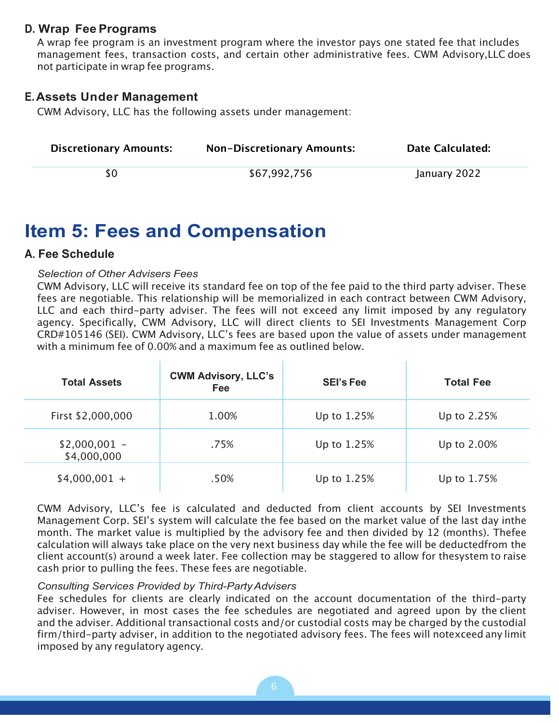#### **D. Wrap Fee Programs**

A wrap fee program is an investment program where the investor pays one stated fee that includes management fees, transaction costs, and certain other administrative fees. CWM Advisory,LLC does not participate in wrap fee programs.

#### **E.Assets Under Management**

CWM Advisory, LLC has the following assets under management:

| <b>Discretionary Amounts:</b> | <b>Non-Discretionary Amounts:</b> | <b>Date Calculated:</b> |
|-------------------------------|-----------------------------------|-------------------------|
| SΩ                            | \$67,992,756                      | January 2022            |

### **Item 5: Fees and Compensation**

#### **A. Fee Schedule**

#### *Selection of Other Advisers Fees*

CWM Advisory, LLC will receive its standard fee on top of the fee paid to the third party adviser. These fees are negotiable. This relationship will be memorialized in each contract between CWM Advisory, LLC and each third-party adviser. The fees will not exceed any limit imposed by any regulatory agency. Specifically, CWM Advisory, LLC will direct clients to SEI Investments Management Corp CRD#105146 (SEI). CWM Advisory, LLC's fees are based upon the value of assets under management with a minimum fee of 0.00% and a maximum fee as outlined below.

| <b>Total Assets</b>           | <b>CWM Advisory, LLC's</b><br>Fee | <b>SEI's Fee</b> | <b>Total Fee</b> |
|-------------------------------|-----------------------------------|------------------|------------------|
| First \$2,000,000             | 1.00%                             | Up to 1.25%      | Up to 2.25%      |
| $$2,000,001 -$<br>\$4,000,000 | .75%                              | Up to 1.25%      | Up to 2.00%      |
| $$4,000,001 +$                | .50%                              | Up to 1.25%      | Up to 1.75%      |

CWM Advisory, LLC's fee is calculated and deducted from client accounts by SEI Investments Management Corp. SEI's system will calculate the fee based on the market value of the last day inthe month. The market value is multiplied by the advisory fee and then divided by 12 (months). Thefee calculation will always take place on the very next business day while the fee will be deductedfrom the client account(s) around a week later. Fee collection may be staggered to allow for thesystem to raise cash prior to pulling the fees. These fees are negotiable.

#### *Consulting Services Provided by Third-PartyAdvisers*

Fee schedules for clients are clearly indicated on the account documentation of the third-party adviser. However, in most cases the fee schedules are negotiated and agreed upon by the client and the adviser. Additional transactional costs and/or custodial costs may be charged by the custodial firm/third-party adviser, in addition to the negotiated advisory fees. The fees will notexceed any limit imposed by any regulatory agency.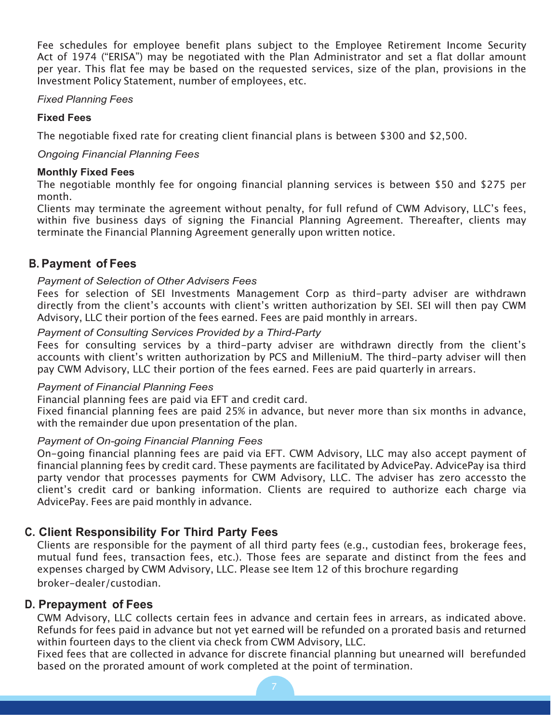Fee schedules for employee benefit plans subject to the Employee Retirement Income Security Act of 1974 ("ERISA") may be negotiated with the Plan Administrator and set a flat dollar amount per year. This flat fee may be based on the requested services, size of the plan, provisions in the Investment Policy Statement, number of employees, etc.

#### *Fixed Planning Fees*

#### **Fixed Fees**

The negotiable fixed rate for creating client financial plans is between \$300 and \$2,500.

#### *Ongoing Financial Planning Fees*

#### **Monthly Fixed Fees**

The negotiable monthly fee for ongoing financial planning services is between \$50 and \$275 per month.

Clients may terminate the agreement without penalty, for full refund of CWM Advisory, LLC's fees, within five business days of signing the Financial Planning Agreement. Thereafter, clients may terminate the Financial Planning Agreement generally upon written notice.

#### **B. Payment of Fees**

#### *Payment of Selection of Other Advisers Fees*

Fees for selection of SEI Investments Management Corp as third-party adviser are withdrawn directly from the client's accounts with client's written authorization by SEI. SEI will then pay CWM Advisory, LLC their portion of the fees earned. Fees are paid monthly in arrears.

#### *Payment of Consulting Services Provided by a Third-Party*

Fees for consulting services by a third-party adviser are withdrawn directly from the client's accounts with client's written authorization by PCS and MilleniuM. The third-party adviser will then pay CWM Advisory, LLC their portion of the fees earned. Fees are paid quarterly in arrears.

#### *Payment of Financial Planning Fees*

Financial planning fees are paid via EFT and credit card.

Fixed financial planning fees are paid 25% in advance, but never more than six months in advance, with the remainder due upon presentation of the plan.

#### *Payment of On-going Financial Planning Fees*

On-going financial planning fees are paid via EFT. CWM Advisory, LLC may also accept payment of financial planning fees by credit card. These payments are facilitated by AdvicePay. AdvicePay isa third party vendor that processes payments for CWM Advisory, LLC. The adviser has zero accessto the client's credit card or banking information. Clients are required to authorize each charge via AdvicePay. Fees are paid monthly in advance.

#### **C. Client Responsibility For Third Party Fees**

Clients are responsible for the payment of all third party fees (e.g., custodian fees, brokerage fees, mutual fund fees, transaction fees, etc.). Those fees are separate and distinct from the fees and expenses charged by CWM Advisory, LLC. Please see Item 12 of this brochure regarding broker-dealer/custodian.

#### **D. Prepayment of Fees**

CWM Advisory, LLC collects certain fees in advance and certain fees in arrears, as indicated above. Refunds for fees paid in advance but not yet earned will be refunded on a prorated basis and returned within fourteen days to the client via check from CWM Advisory, LLC.

Fixed fees that are collected in advance for discrete financial planning but unearned will berefunded based on the prorated amount of work completed at the point of termination.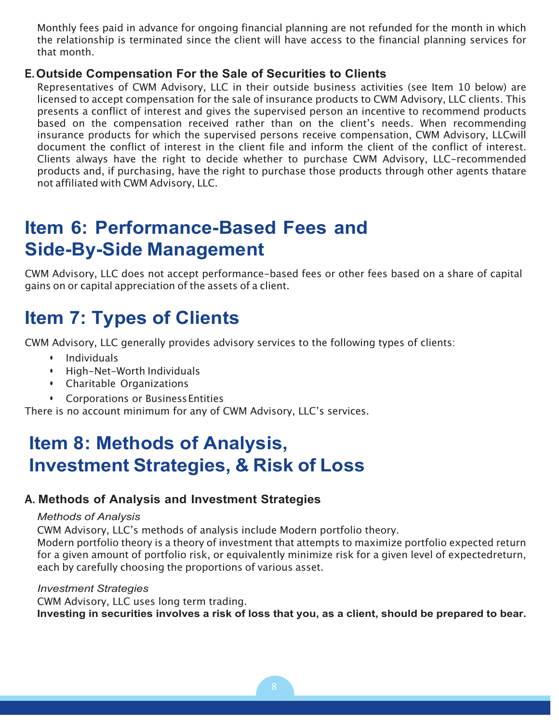Monthly fees paid in advance for ongoing financial planning are not refunded for the month in which the relationship is terminated since the client will have access to the financial planning services for that month.

#### **E.Outside Compensation For the Sale of Securities to Clients**

Representatives of CWM Advisory, LLC in their outside business activities (see Item 10 below) are licensed to accept compensation for the sale of insurance products to CWM Advisory, LLC clients. This presents a conflict of interest and gives the supervised person an incentive to recommend products based on the compensation received rather than on the client's needs. When recommending insurance products for which the supervised persons receive compensation, CWM Advisory, LLCwill document the conflict of interest in the client file and inform the client of the conflict of interest. Clients always have the right to decide whether to purchase CWM Advisory, LLC-recommended products and, if purchasing, have the right to purchase those products through other agents thatare not affiliated with CWM Advisory, LLC.

### **Item 6: Performance-Based Fees and Side-By-Side Management**

CWM Advisory, LLC does not accept performance-based fees or other fees based on a share of capital gains on or capital appreciation of the assets of a client.

### **Item 7: Types of Clients**

CWM Advisory, LLC generally provides advisory services to the following types of clients:

- Individuals
- High-Net-Worth Individuals
- Charitable Organizations
- Corporations or BusinessEntities

There is no account minimum for any of CWM Advisory, LLC's services.

### **Item 8: Methods of Analysis, Investment Strategies, & Risk of Loss**

#### **A. Methods of Analysis and Investment Strategies**

#### *Methods of Analysis*

CWM Advisory, LLC's methods of analysis include Modern portfolio theory.

Modern portfolio theory is a theory of investment that attempts to maximize portfolio expected return for a given amount of portfolio risk, or equivalently minimize risk for a given level of expectedreturn, each by carefully choosing the proportions of various asset.

#### *Investment Strategies*

CWM Advisory, LLC uses long term trading. **Investing in securities involves a risk of loss that you, as a client, should be prepared to bear.**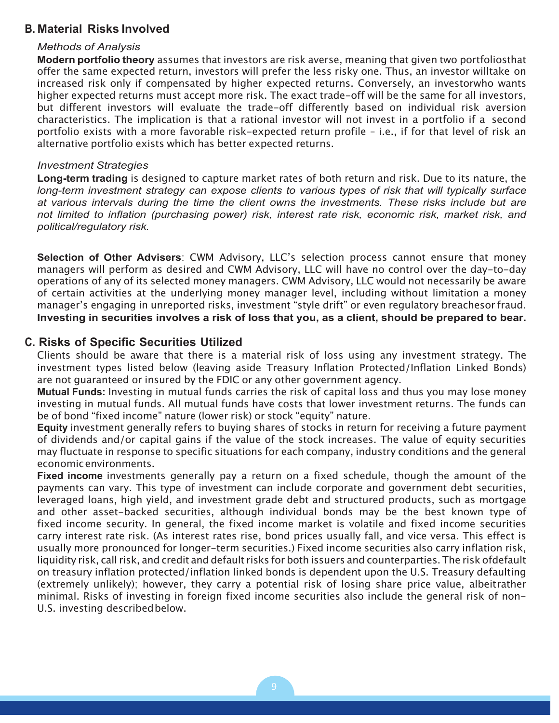#### **B. Material Risks Involved**

#### *Methods of Analysis*

**Modern portfolio theory** assumes that investors are risk averse, meaning that given two portfoliosthat offer the same expected return, investors will prefer the less risky one. Thus, an investor willtake on increased risk only if compensated by higher expected returns. Conversely, an investorwho wants higher expected returns must accept more risk. The exact trade-off will be the same for all investors, but different investors will evaluate the trade-off differently based on individual risk aversion characteristics. The implication is that a rational investor will not invest in a portfolio if a second portfolio exists with a more favorable risk-expected return profile – i.e., if for that level of risk an alternative portfolio exists which has better expected returns.

#### *Investment Strategies*

**Long-term trading** is designed to capture market rates of both return and risk. Due to its nature, the *long-term investment strategy can expose clients to various types of risk that will typically surface at various intervals during the time the client owns the investments. These risks include but are not limited to inflation (purchasing power) risk, interest rate risk, economic risk, market risk, and political/regulatory risk.*

**Selection of Other Advisers**: CWM Advisory, LLC's selection process cannot ensure that money managers will perform as desired and CWM Advisory, LLC will have no control over the day-to-day operations of any of its selected money managers. CWM Advisory, LLC would not necessarily be aware of certain activities at the underlying money manager level, including without limitation a money manager's engaging in unreported risks, investment "style drift" or even regulatory breachesor fraud. **Investing in securities involves a risk of loss that you, as a client, should be prepared to bear.**

#### **C. Risks of Specific Securities Utilized**

Clients should be aware that there is a material risk of loss using any investment strategy. The investment types listed below (leaving aside Treasury Inflation Protected/Inflation Linked Bonds) are not guaranteed or insured by the FDIC or any other government agency.

**Mutual Funds:** Investing in mutual funds carries the risk of capital loss and thus you may lose money investing in mutual funds. All mutual funds have costs that lower investment returns. The funds can be of bond "fixed income" nature (lower risk) or stock "equity" nature.

**Equity** investment generally refers to buying shares of stocks in return for receiving a future payment of dividends and/or capital gains if the value of the stock increases. The value of equity securities may fluctuate in response to specific situations for each company, industry conditions and the general economicenvironments.

**Fixed income** investments generally pay a return on a fixed schedule, though the amount of the payments can vary. This type of investment can include corporate and government debt securities, leveraged loans, high yield, and investment grade debt and structured products, such as mortgage and other asset-backed securities, although individual bonds may be the best known type of fixed income security. In general, the fixed income market is volatile and fixed income securities carry interest rate risk. (As interest rates rise, bond prices usually fall, and vice versa. This effect is usually more pronounced for longer-term securities.) Fixed income securities also carry inflation risk, liquidity risk, call risk, and credit and default risks for both issuers and counterparties. The risk ofdefault on treasury inflation protected/inflation linked bonds is dependent upon the U.S. Treasury defaulting (extremely unlikely); however, they carry a potential risk of losing share price value, albeitrather minimal. Risks of investing in foreign fixed income securities also include the general risk of non-U.S. investing described below.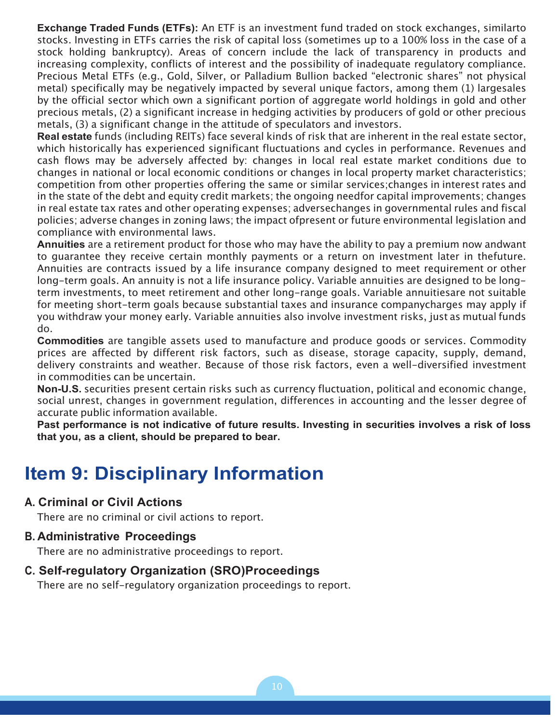**Exchange Traded Funds (ETFs):** An ETF is an investment fund traded on stock exchanges, similarto stocks. Investing in ETFs carries the risk of capital loss (sometimes up to a 100% loss in the case of a stock holding bankruptcy). Areas of concern include the lack of transparency in products and increasing complexity, conflicts of interest and the possibility of inadequate regulatory compliance. Precious Metal ETFs (e.g., Gold, Silver, or Palladium Bullion backed "electronic shares" not physical metal) specifically may be negatively impacted by several unique factors, among them (1) largesales by the official sector which own a significant portion of aggregate world holdings in gold and other precious metals, (2) a significant increase in hedging activities by producers of gold or other precious metals, (3) a significant change in the attitude of speculators and investors.

**Real estate** funds (including REITs) face several kinds of risk that are inherent in the real estate sector, which historically has experienced significant fluctuations and cycles in performance. Revenues and cash flows may be adversely affected by: changes in local real estate market conditions due to changes in national or local economic conditions or changes in local property market characteristics; competition from other properties offering the same or similar services;changes in interest rates and in the state of the debt and equity credit markets; the ongoing needfor capital improvements; changes in real estate tax rates and other operating expenses; adversechanges in governmental rules and fiscal policies; adverse changes in zoning laws; the impact ofpresent or future environmental legislation and compliance with environmental laws.

**Annuities** are a retirement product for those who may have the ability to pay a premium now andwant to guarantee they receive certain monthly payments or a return on investment later in thefuture. Annuities are contracts issued by a life insurance company designed to meet requirement or other long-term goals. An annuity is not a life insurance policy. Variable annuities are designed to be longterm investments, to meet retirement and other long-range goals. Variable annuitiesare not suitable for meeting short-term goals because substantial taxes and insurance companycharges may apply if you withdraw your money early. Variable annuities also involve investment risks, just as mutual funds do.

**Commodities** are tangible assets used to manufacture and produce goods or services. Commodity prices are affected by different risk factors, such as disease, storage capacity, supply, demand, delivery constraints and weather. Because of those risk factors, even a well-diversified investment in commodities can be uncertain.

**Non-U.S.** securities present certain risks such as currency fluctuation, political and economic change, social unrest, changes in government regulation, differences in accounting and the lesser degree of accurate public information available.

**Past performance is not indicative of future results. Investing in securities involves a risk of loss that you, as a client, should be prepared to bear.**

### **Item 9: Disciplinary Information**

#### **A. Criminal or Civil Actions**

There are no criminal or civil actions to report.

#### **B. Administrative Proceedings**

There are no administrative proceedings to report.

#### **C. Self-regulatory Organization (SRO)Proceedings**

There are no self-regulatory organization proceedings to report.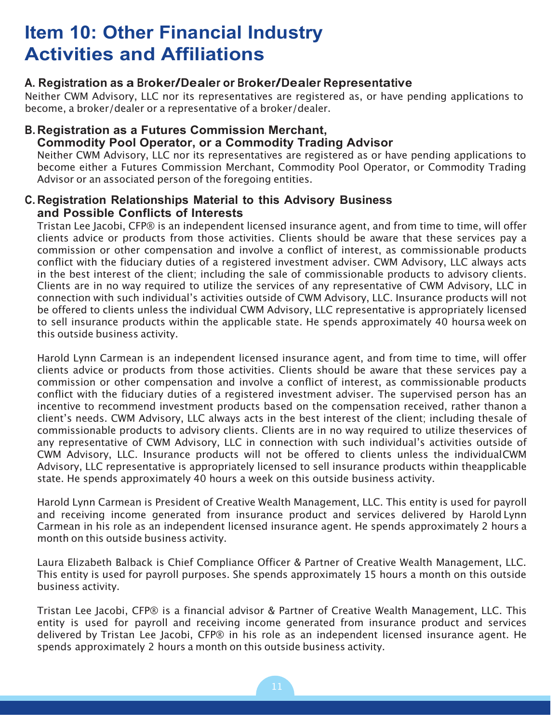### **Item 10: Other Financial Industry Activities and Affiliations**

#### **A. Registration as a Broker/Dealer or Broker/Dealer Representative**

Neither CWM Advisory, LLC nor its representatives are registered as, or have pending applications to become, a broker/dealer or a representative of a broker/dealer.

#### **B. Registration as a Futures Commission Merchant, Commodity Pool Operator, or a Commodity Trading Advisor**

Neither CWM Advisory, LLC nor its representatives are registered as or have pending applications to become either a Futures Commission Merchant, Commodity Pool Operator, or Commodity Trading Advisor or an associated person of the foregoing entities.

#### **C. Registration Relationships Material to this Advisory Business and Possible Conflicts of Interests**

Tristan Lee Jacobi, CFP® is an independent licensed insurance agent, and from time to time, will offer clients advice or products from those activities. Clients should be aware that these services pay a commission or other compensation and involve a conflict of interest, as commissionable products conflict with the fiduciary duties of a registered investment adviser. CWM Advisory, LLC always acts in the best interest of the client; including the sale of commissionable products to advisory clients. Clients are in no way required to utilize the services of any representative of CWM Advisory, LLC in connection with such individual's activities outside of CWM Advisory, LLC. Insurance products will not be offered to clients unless the individual CWM Advisory, LLC representative is appropriately licensed to sell insurance products within the applicable state. He spends approximately 40 hoursa week on this outside business activity.

Harold Lynn Carmean is an independent licensed insurance agent, and from time to time, will offer clients advice or products from those activities. Clients should be aware that these services pay a commission or other compensation and involve a conflict of interest, as commissionable products conflict with the fiduciary duties of a registered investment adviser. The supervised person has an incentive to recommend investment products based on the compensation received, rather thanon a client's needs. CWM Advisory, LLC always acts in the best interest of the client; including thesale of commissionable products to advisory clients. Clients are in no way required to utilize theservices of any representative of CWM Advisory, LLC in connection with such individual's activities outside of CWM Advisory, LLC. Insurance products will not be offered to clients unless the individualCWM Advisory, LLC representative is appropriately licensed to sell insurance products within theapplicable state. He spends approximately 40 hours a week on this outside business activity.

Harold Lynn Carmean is President of Creative Wealth Management, LLC. This entity is used for payroll and receiving income generated from insurance product and services delivered by Harold Lynn Carmean in his role as an independent licensed insurance agent. He spends approximately 2 hours a month on this outside business activity.

Laura Elizabeth Balback is Chief Compliance Officer & Partner of Creative Wealth Management, LLC. This entity is used for payroll purposes. She spends approximately 15 hours a month on this outside business activity.

Tristan Lee Jacobi, CFP® is a financial advisor & Partner of Creative Wealth Management, LLC. This entity is used for payroll and receiving income generated from insurance product and services delivered by Tristan Lee Jacobi, CFP® in his role as an independent licensed insurance agent. He spends approximately 2 hours a month on this outside business activity.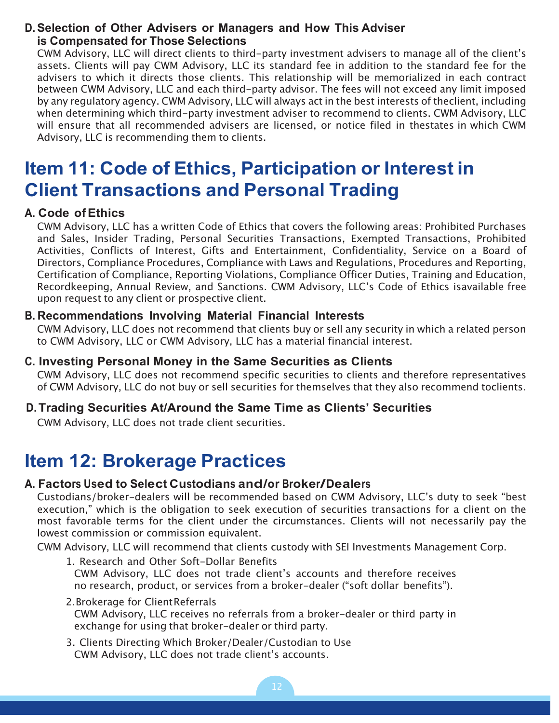#### **D.Selection of Other Advisers or Managers and How This Adviser is Compensated for Those Selections**

CWM Advisory, LLC will direct clients to third-party investment advisers to manage all of the client's assets. Clients will pay CWM Advisory, LLC its standard fee in addition to the standard fee for the advisers to which it directs those clients. This relationship will be memorialized in each contract between CWM Advisory, LLC and each third-party advisor. The fees will not exceed any limit imposed by any regulatory agency. CWM Advisory, LLC will always act in the best interests of theclient, including when determining which third-party investment adviser to recommend to clients. CWM Advisory, LLC will ensure that all recommended advisers are licensed, or notice filed in thestates in which CWM Advisory, LLC is recommending them to clients.

### **Item 11: Code of Ethics, Participation or Interest in Client Transactions and Personal Trading**

#### **A. Code ofEthics**

CWM Advisory, LLC has a written Code of Ethics that covers the following areas: Prohibited Purchases and Sales, Insider Trading, Personal Securities Transactions, Exempted Transactions, Prohibited Activities, Conflicts of Interest, Gifts and Entertainment, Confidentiality, Service on a Board of Directors, Compliance Procedures, Compliance with Laws and Regulations, Procedures and Reporting, Certification of Compliance, Reporting Violations, Compliance Officer Duties, Training and Education, Recordkeeping, Annual Review, and Sanctions. CWM Advisory, LLC's Code of Ethics isavailable free upon request to any client or prospective client.

#### **B. Recommendations Involving Material Financial Interests**

CWM Advisory, LLC does not recommend that clients buy or sell any security in which a related person to CWM Advisory, LLC or CWM Advisory, LLC has a material financial interest.

#### **C. Investing Personal Money in the Same Securities as Clients**

CWM Advisory, LLC does not recommend specific securities to clients and therefore representatives of CWM Advisory, LLC do not buy or sell securities for themselves that they also recommend toclients.

#### **D. Trading Securities At/Around the Same Time as Clients' Securities**

CWM Advisory, LLC does not trade client securities.

### **Item 12: Brokerage Practices**

#### **A. Factors Used to Select Custodians and/or Broker/Dealers**

Custodians/broker-dealers will be recommended based on CWM Advisory, LLC's duty to seek "best execution," which is the obligation to seek execution of securities transactions for a client on the most favorable terms for the client under the circumstances. Clients will not necessarily pay the lowest commission or commission equivalent.

CWM Advisory, LLC will recommend that clients custody with SEI Investments Management Corp.

- 1. Research and Other Soft-Dollar Benefits CWM Advisory, LLC does not trade client's accounts and therefore receives no research, product, or services from a broker-dealer ("soft dollar benefits").
- 2.Brokerage for ClientReferrals CWM Advisory, LLC receives no referrals from a broker-dealer or third party in exchange for using that broker-dealer or third party.
- 3. Clients Directing Which Broker/Dealer/Custodian to Use CWM Advisory, LLC does not trade client's accounts.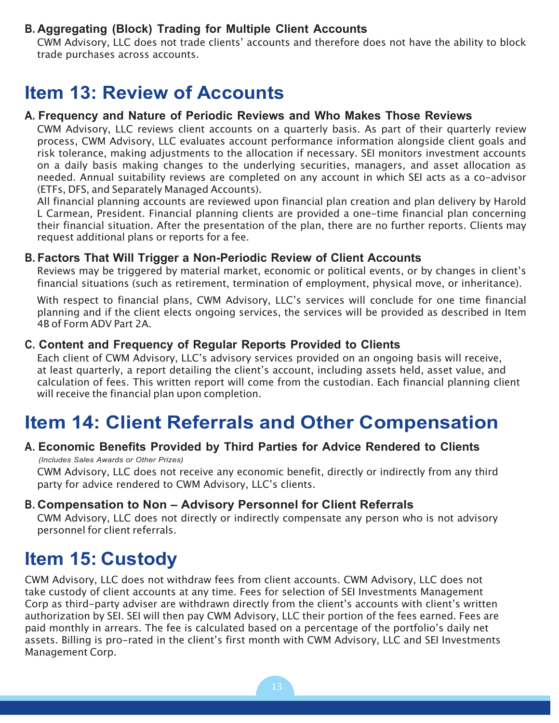#### **B. Aggregating (Block) Trading for Multiple Client Accounts**

CWM Advisory, LLC does not trade clients' accounts and therefore does not have the ability to block trade purchases across accounts.

### **Item 13: Review of Accounts**

#### **A. Frequency and Nature of Periodic Reviews and Who Makes Those Reviews**

CWM Advisory, LLC reviews client accounts on a quarterly basis. As part of their quarterly review process, CWM Advisory, LLC evaluates account performance information alongside client goals and risk tolerance, making adjustments to the allocation if necessary. SEI monitors investment accounts on a daily basis making changes to the underlying securities, managers, and asset allocation as needed. Annual suitability reviews are completed on any account in which SEI acts as a co-advisor (ETFs, DFS, and Separately Managed Accounts).

All financial planning accounts are reviewed upon financial plan creation and plan delivery by Harold L Carmean, President. Financial planning clients are provided a one-time financial plan concerning their financial situation. After the presentation of the plan, there are no further reports. Clients may request additional plans or reports for a fee.

#### **B. Factors That Will Trigger a Non-Periodic Review of Client Accounts**

Reviews may be triggered by material market, economic or political events, or by changes in client's financial situations (such as retirement, termination of employment, physical move, or inheritance).

With respect to financial plans, CWM Advisory, LLC's services will conclude for one time financial planning and if the client elects ongoing services, the services will be provided as described in Item 4B of Form ADV Part 2A.

#### **C. Content and Frequency of Regular Reports Provided to Clients**

Each client of CWM Advisory, LLC's advisory services provided on an ongoing basis will receive, at least quarterly, a report detailing the client's account, including assets held, asset value, and calculation of fees. This written report will come from the custodian. Each financial planning client will receive the financial plan upon completion.

### **Item 14: Client Referrals and Other Compensation**

#### **A. Economic Benefits Provided by Third Parties for Advice Rendered to Clients**

*(Includes Sales Awards or Other Prizes)* CWM Advisory, LLC does not receive any economic benefit, directly or indirectly from any third party for advice rendered to CWM Advisory, LLC's clients.

#### **B. Compensation to Non – Advisory Personnel for Client Referrals**

CWM Advisory, LLC does not directly or indirectly compensate any person who is not advisory personnel for client referrals.

### **Item 15: Custody**

CWM Advisory, LLC does not withdraw fees from client accounts. CWM Advisory, LLC does not take custody of client accounts at any time. Fees for selection of SEI Investments Management Corp as third-party adviser are withdrawn directly from the client's accounts with client's written authorization by SEI. SEI will then pay CWM Advisory, LLC their portion of the fees earned. Fees are paid monthly in arrears. The fee is calculated based on a percentage of the portfolio's daily net assets. Billing is pro-rated in the client's first month with CWM Advisory, LLC and SEI Investments Management Corp.